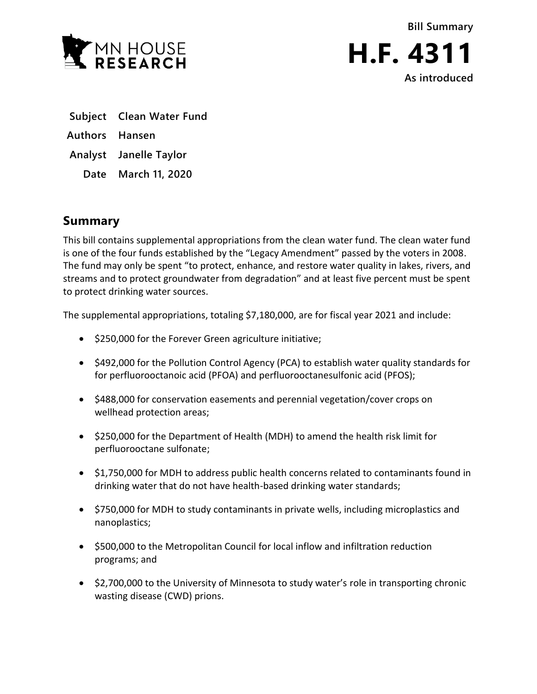



- **Subject Clean Water Fund**
- **Authors Hansen**
- **Analyst Janelle Taylor**
	- **Date March 11, 2020**

## **Summary**

This bill contains supplemental appropriations from the clean water fund. The clean water fund is one of the four funds established by the "Legacy Amendment" passed by the voters in 2008. The fund may only be spent "to protect, enhance, and restore water quality in lakes, rivers, and streams and to protect groundwater from degradation" and at least five percent must be spent to protect drinking water sources.

The supplemental appropriations, totaling \$7,180,000, are for fiscal year 2021 and include:

- \$250,000 for the Forever Green agriculture initiative;
- \$492,000 for the Pollution Control Agency (PCA) to establish water quality standards for for perfluorooctanoic acid (PFOA) and perfluorooctanesulfonic acid (PFOS);
- \$488,000 for conservation easements and perennial vegetation/cover crops on wellhead protection areas;
- \$250,000 for the Department of Health (MDH) to amend the health risk limit for perfluorooctane sulfonate;
- \$1,750,000 for MDH to address public health concerns related to contaminants found in drinking water that do not have health-based drinking water standards;
- \$750,000 for MDH to study contaminants in private wells, including microplastics and nanoplastics;
- \$500,000 to the Metropolitan Council for local inflow and infiltration reduction programs; and
- \$2,700,000 to the University of Minnesota to study water's role in transporting chronic wasting disease (CWD) prions.